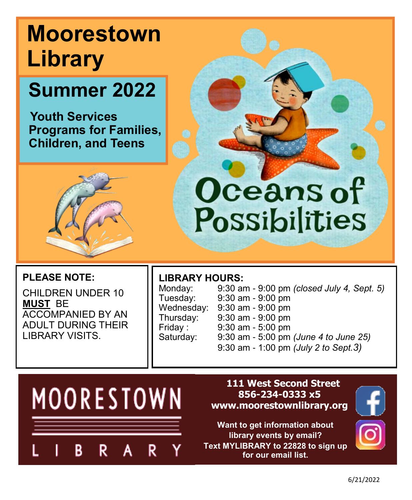# **Moorestown Library**

# **Summer 2022**

 **Youth Services Programs for Families, Children, and Teens**



## **PLEASE NOTE:**

CHILDREN UNDER 10 **MUST** BE ACCOMPANIED BY AN ADULT DURING THEIR LIBRARY VISITS.

## **LIBRARY HOURS:**

Monday: 9:30 am - 9:00 pm *(closed July 4, Sept. 5)* Tuesday: 9:30 am - 9:00 pm Wednesday: 9:30 am - 9:00 pm 9:30 am - 9:00 pm Friday : 9:30 am - 5:00 pm 9:30 am - 5:00 pm *(June 4 to June 25)* 9:30 am - 1:00 pm *(July 2 to Sept.3)*

Oceans of

Possibilities



#### **111 West Second Street 856-234-0333 x5 www.moorestownlibrary.org**

**Want to get information about library events by email? Text MYLIBRARY to 22828 to sign up for our email list.** 

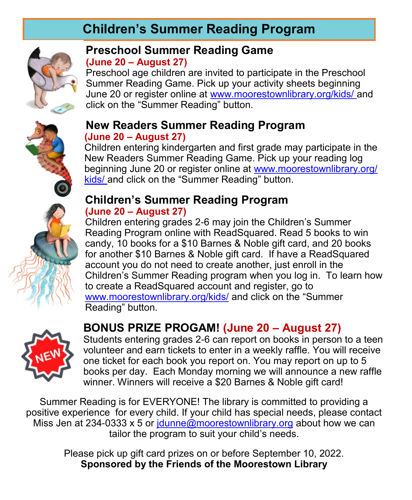## **Children's Summer Reading Program**



## **Preschool Summer Reading Game (June 20 – August 27)**

Preschool age children are invited to participate in the Preschool Summer Reading Game. Pick up your activity sheets beginning June 20 or register online at [www.moorestownlibrary.org/kids/](http://www.moorestownlibrary.org/kids/) and click on the "Summer Reading" button.

#### **New Readers Summer Reading Program (June 20 – August 27)**

Children entering kindergarten and first grade may participate in the New Readers Summer Reading Game. Pick up your reading log beginning June 20 or register online at [www.moorestownlibrary.org/](http://www.moorestownlibrary.org/kids/) [kids/](http://www.moorestownlibrary.org/kids/) and click on the "Summer Reading" button.

## **Children's Summer Reading Program (June 20 – August 27)**

Children entering grades 2-6 may join the Children's Summer Reading Program online with ReadSquared. Read 5 books to win candy, 10 books for a \$10 Barnes & Noble gift card, and 20 books for another \$10 Barnes & Noble gift card. If have a ReadSquared account you do not need to create another, just enroll in the Children's Summer Reading program when you log in. To learn how to create a ReadSquared account and register, go to [www.moorestownlibrary.org/kids/](http://www.moorestownlibrary.org/kids/) and click on the "Summer Reading" button.



## **BONUS PRIZE PROGAM! (June 20 – August 27)**

Students entering grades 2-6 can report on books in person to a teen volunteer and earn tickets to enter in a weekly raffle. You will receive one ticket for each book you report on. You may report on up to 5 books per day. Each Monday morning we will announce a new raffle winner. Winners will receive a \$20 Barnes & Noble gift card!

Summer Reading is for EVERYONE! The library is committed to providing a positive experience for every child. If your child has special needs, please contact Miss Jen at 234-0333 x 5 or  $\frac{\text{Idunne}}{\text{Qmoorestown}}$  binds about how we can tailor the program to suit your child's needs.

> Please pick up gift card prizes on or before September 10, 2022. **Sponsored by the Friends of the Moorestown Library**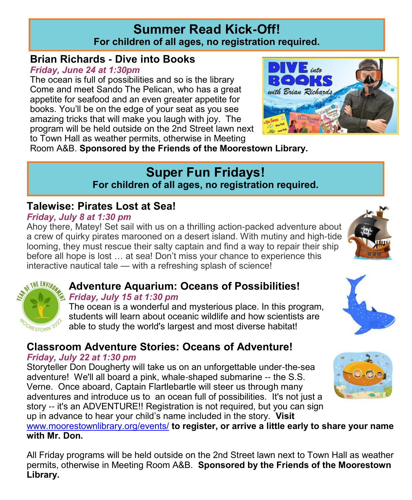## **Summer Read Kick-Off! For children of all ages, no registration required.**

## **Brian Richards - Dive into Books**

*Friday, June 24 at 1:30pm*

The ocean is full of possibilities and so is the library Come and meet Sando The Pelican, who has a great appetite for seafood and an even greater appetite for books. You'll be on the edge of your seat as you see amazing tricks that will make you laugh with joy. The program will be held outside on the 2nd Street lawn next to Town Hall as weather permits, otherwise in Meeting



Room A&B. **Sponsored by the Friends of the Moorestown Library.**

## **Super Fun Fridays!**

**For children of all ages, no registration required.**

## **Talewise: Pirates Lost at Sea!**

#### *Friday, July 8 at 1:30 pm*

Ahoy there, Matey! Set sail with us on a thrilling action-packed adventure about a crew of quirky pirates marooned on a desert island. With mutiny and high-tide looming, they must rescue their salty captain and find a way to repair their ship before all hope is lost … at sea! Don't miss your chance to experience this interactive nautical tale — with a refreshing splash of science!





## **Adventure Aquarium: Oceans of Possibilities!**

#### *Friday, July 15 at 1:30 pm*

The ocean is a wonderful and mysterious place. In this program, students will learn about oceanic wildlife and how scientists are able to study the world's largest and most diverse habitat!

## **Classroom Adventure Stories: Oceans of Adventure!**

#### *Friday, July 22 at 1:30 pm*

Storyteller Don Dougherty will take us on an unforgettable under-the-sea adventure! We'll all board a pink, whale-shaped submarine -- the S.S. Verne. Once aboard, Captain Flartlebartle will steer us through many adventures and introduce us to an ocean full of possibilities. It's not just a story -- it's an ADVENTURE!! Registration is not required, but you can sign up in advance to hear your child's name included in the story. **Visit** 

[www.moorestownlibrary.org/events/](http://www.moorestownlibrary.org/events/) **to register, or arrive a little early to share your name with Mr. Don.**

All Friday programs will be held outside on the 2nd Street lawn next to Town Hall as weather permits, otherwise in Meeting Room A&B. **Sponsored by the Friends of the Moorestown Library.**



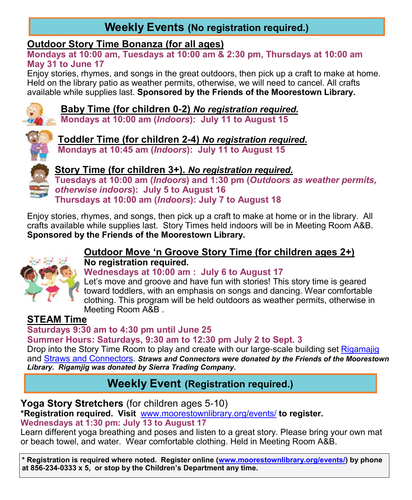## **Weekly Events (No registration required.)**

### **Outdoor Story Time Bonanza (for all ages)**

**Mondays at 10:00 am, Tuesdays at 10:00 am & 2:30 pm, Thursdays at 10:00 am May 31 to June 17**

Enjoy stories, rhymes, and songs in the great outdoors, then pick up a craft to make at home. Held on the library patio as weather permits, otherwise, we will need to cancel. All crafts available while supplies last. **Sponsored by the Friends of the Moorestown Library.**



**Baby Time (for children 0-2)** *No registration required.*

**Mondays at 10:00 am (***Indoors***): July 11 to August 15**



**Toddler Time (for children 2-4)** *No registration required***. Mondays at 10:45 am (***Indoors***): July 11 to August 15**



**Story Time (for children 3+).** *No registration required***.**

**Tuesdays at 10:00 am (***Indoors***) and 1:30 pm (***Outdoors as weather permits, otherwise indoors***): July 5 to August 16 Thursdays at 10:00 am (***Indoors***): July 7 to August 18** 

Enjoy stories, rhymes, and songs, then pick up a craft to make at home or in the library. All crafts available while supplies last. Story Times held indoors will be in Meeting Room A&B. **Sponsored by the Friends of the Moorestown Library.**



#### **Outdoor Move 'n Groove Story Time (for children ages 2+) No registration required.**

**Wednesdays at 10:00 am : July 6 to August 17**

Let's move and groove and have fun with stories! This story time is geared toward toddlers, with an emphasis on songs and dancing. Wear comfortable clothing. This program will be held outdoors as weather permits, otherwise in Meeting Room A&B .

## **STEAM Time**

**Saturdays 9:30 am to 4:30 pm until June 25 Summer Hours: Saturdays, 9:30 am to 12:30 pm July 2 to Sept. 3**

Drop into the Story Time Room to play and create with our large-scale building set [Rigamajig](https://www.rigamajig.com/) and [Straws and Connectors.](http://strawsandconnectors.com/) *Straws and Connectors were donated by the Friends of the Moorestown Library. Rigamjig was donated by Sierra Trading Company.* 

## **Weekly Event (Registration required.)**

**Yoga Story Stretchers** (for children ages 5-10)

**\*Registration required. Visit** [www.moorestownlibrary.org/events/](http://www.moorestownlibrary.org/events/) **to register.**

#### **Wednesdays at 1:30 pm: July 13 to August 17**

Learn different yoga breathing and poses and listen to a great story. Please bring your own mat or beach towel, and water. Wear comfortable clothing. Held in Meeting Room A&B.

**\* Registration is required where noted. Register online ([www.moorestownlibrary.org/events/\)](http://www.moorestownlibrary.org/events/) by phone at 856-234-0333 x 5, or stop by the Children's Department any time.**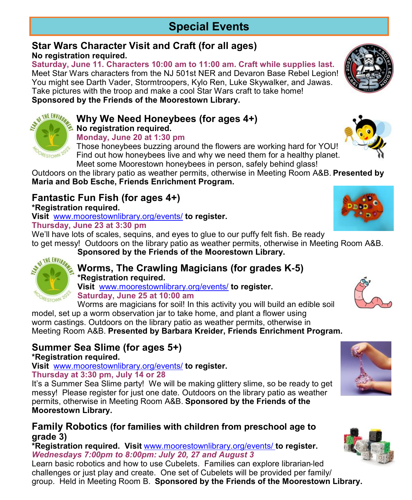## **Special Events**

#### **Star Wars Character Visit and Craft (for all ages) No registration required.**

**Saturday, June 11. Characters 10:00 am to 11:00 am. Craft while supplies last.** Meet Star Wars characters from the NJ 501st NER and Devaron Base Rebel Legion! You might see Darth Vader, Stormtroopers, Kylo Ren, Luke Skywalker, and Jawas. Take pictures with the troop and make a cool Star Wars craft to take home! **Sponsored by the Friends of the Moorestown Library.**



#### **Monday, June 20 at 1:30 pm**

Those honeybees buzzing around the flowers are working hard for YOU! Find out how honeybees live and why we need them for a healthy planet. Meet some Moorestown honeybees in person, safely behind glass!

Outdoors on the library patio as weather permits, otherwise in Meeting Room A&B. **Presented by Maria and Bob Esche, Friends Enrichment Program.**

## **Fantastic Fun Fish (for ages 4+)**

**\*Registration required.** 

**Visit** [www.moorestownlibrary.org/events/](http://www.moorestownlibrary.org/events/) **to register. Thursday, June 23 at 3:30 pm**

We'll have lots of scales, sequins, and eyes to glue to our puffy felt fish. Be ready

to get messy! Outdoors on the library patio as weather permits, otherwise in Meeting Room A&B. **Sponsored by the Friends of the Moorestown Library.**



#### **Worms, The Crawling Magicians (for grades K-5) \*Registration required.**

**Visit** [www.moorestownlibrary.org/events/](http://www.moorestownlibrary.org/events/) **to register. Saturday, June 25 at 10:00 am** 

Worms are magicians for soil! In this activity you will build an edible soil model, set up a worm observation jar to take home, and plant a flower using worm castings. Outdoors on the library patio as weather permits, otherwise in Meeting Room A&B. **Presented by Barbara Kreider, Friends Enrichment Program.**

## **Summer Sea Slime (for ages 5+)**

#### **\*Registration required.**

**Visit** [www.moorestownlibrary.org/events/](http://www.moorestownlibrary.org/events/) **to register. Thursday at 3:30 pm, July 14 or 28** 

It's a Summer Sea Slime party! We will be making glittery slime, so be ready to get messy! Please register for just one date. Outdoors on the library patio as weather permits, otherwise in Meeting Room A&B. **Sponsored by the Friends of the Moorestown Library.**

#### **Family Robotics (for families with children from preschool age to grade 3)**

**\*Registration required. Visit** [www.moorestownlibrary.org/events/](http://www.moorestownlibrary.org/events/) **to register.** *Wednesdays 7:00pm to 8:00pm: July 20, 27 and August 3*

Learn basic robotics and how to use Cubelets. Families can explore librarian-led challenges or just play and create. One set of Cubelets will be provided per family/ group. Held in Meeting Room B. **Sponsored by the Friends of the Moorestown Library.**









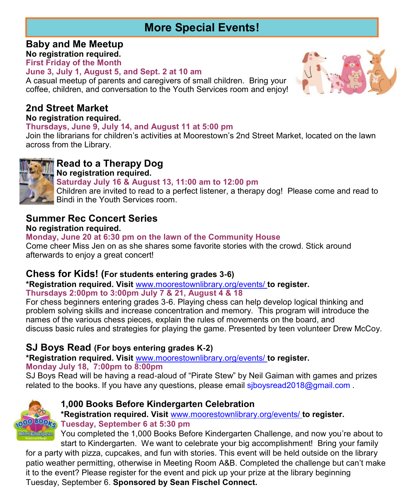## **More Special Events!**

**Baby and Me Meetup No registration required.**

**First Friday of the Month**

#### **June 3, July 1, August 5, and Sept. 2 at 10 am**

A casual meetup of parents and caregivers of small children. Bring your coffee, children, and conversation to the Youth Services room and enjoy!

## **2nd Street Market**

#### **No registration required.**

#### **Thursdays, June 9, July 14, and August 11 at 5:00 pm**

Join the librarians for children's activities at Moorestown's 2nd Street Market, located on the lawn across from the Library.



## **Read to a Therapy Dog**

**No registration required.**

#### **Saturday July 16 & August 13, 11:00 am to 12:00 pm**

Children are invited to read to a perfect listener, a therapy dog! Please come and read to Bindi in the Youth Services room.

## **Summer Rec Concert Series**

#### **No registration required.**

#### **Monday, June 20 at 6:30 pm on the lawn of the Community House**

Come cheer Miss Jen on as she shares some favorite stories with the crowd. Stick around afterwards to enjoy a great concert!

#### **Chess for Kids! (For students entering grades 3-6)**

**\*Registration required. Visit** [www.moorestownlibrary.org/events/](http://www.moorestownlibrary.org/events/) **to register.**

**Thursdays 2:00pm to 3:00pm July 7 & 21, August 4 & 18**

For chess beginners entering grades 3-6. Playing chess can help develop logical thinking and problem solving skills and increase concentration and memory. This program will introduce the names of the various chess pieces, explain the rules of movements on the board, and discuss basic rules and strategies for playing the game. Presented by teen volunteer Drew McCoy.

### **SJ Boys Read (For boys entering grades K-2)**

**\*Registration required. Visit** [www.moorestownlibrary.org/events/](http://www.moorestownlibrary.org/events/) **to register. Monday July 18, 7:00pm to 8:00pm**

SJ Boys Read will be having a read-aloud of "Pirate Stew" by Neil Gaiman with games and prizes related to the books. If you have any questions, please email siboysread2018@gmail.com.



#### **1,000 Books Before Kindergarten Celebration**

**\*Registration required. Visit** [www.moorestownlibrary.org/events/](http://www.moorestownlibrary.org/events/) **to register. Tuesday, September 6 at 5:30 pm**

You completed the 1,000 Books Before Kindergarten Challenge, and now you're about to start to Kindergarten. We want to celebrate your big accomplishment! Bring your family

for a party with pizza, cupcakes, and fun with stories. This event will be held outside on the library patio weather permitting, otherwise in Meeting Room A&B. Completed the challenge but can't make it to the event? Please register for the event and pick up your prize at the library beginning Tuesday, September 6. **Sponsored by Sean Fischel Connect.**

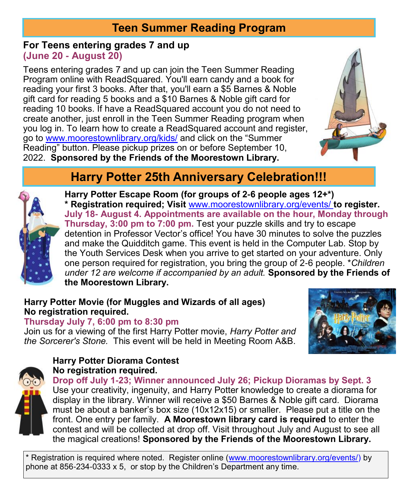## **Teen Summer Reading Program**

**For Teens entering grades 7 and up (June 20 - August 20)** 

Teens entering grades 7 and up can join the Teen Summer Reading Program online with ReadSquared. You'll earn candy and a book for reading your first 3 books. After that, you'll earn a \$5 Barnes & Noble gift card for reading 5 books and a \$10 Barnes & Noble gift card for reading 10 books. If have a ReadSquared account you do not need to create another, just enroll in the Teen Summer Reading program when you log in. To learn how to create a ReadSquared account and register, go to [www.moorestownlibrary.org/kids/](http://www.moorestownlibrary.org/kids/) and click on the "Summer Reading" button. Please pickup prizes on or before September 10, 2022. **Sponsored by the Friends of the Moorestown Library.**



## **Harry Potter 25th Anniversary Celebration!!!**



**Harry Potter Escape Room (for groups of 2-6 people ages 12+\*) \* Registration required; Visit** [www.moorestownlibrary.org/events/](http://www.moorestownlibrary.org/events/) **to register. July 18- August 4. Appointments are available on the hour, Monday through Thursday, 3:00 pm to 7:00 pm.** Test your puzzle skills and try to escape detention in Professor Vector's office! You have 30 minutes to solve the puzzles and make the Quidditch game. This event is held in the Computer Lab. Stop by the Youth Services Desk when you arrive to get started on your adventure. Only one person required for registration, you bring the group of 2-6 people. \**Children under 12 are welcome if accompanied by an adult.* **Sponsored by the Friends of the Moorestown Library.**

#### **Harry Potter Movie (for Muggles and Wizards of all ages) No registration required.**

**Thursday July 7, 6:00 pm to 8:30 pm**

Join us for a viewing of the first Harry Potter movie, *Harry Potter and the Sorcerer's Stone.* This event will be held in Meeting Room A&B.



#### **Harry Potter Diorama Contest No registration required.**



**Drop off July 1-23; Winner announced July 26; Pickup Dioramas by Sept. 3** Use your creativity, ingenuity, and Harry Potter knowledge to create a diorama for display in the library. Winner will receive a \$50 Barnes & Noble gift card. Diorama must be about a banker's box size (10x12x15) or smaller. Please put a title on the front. One entry per family. **A Moorestown library card is required** to enter the contest and will be collected at drop off. Visit throughout July and August to see all the magical creations! **Sponsored by the Friends of the Moorestown Library.**

\* Registration is required where noted. Register online ([www.moorestownlibrary.org/events/\)](http://www.moorestownlibrary.org/events/) by phone at 856-234-0333 x 5, or stop by the Children's Department any time.